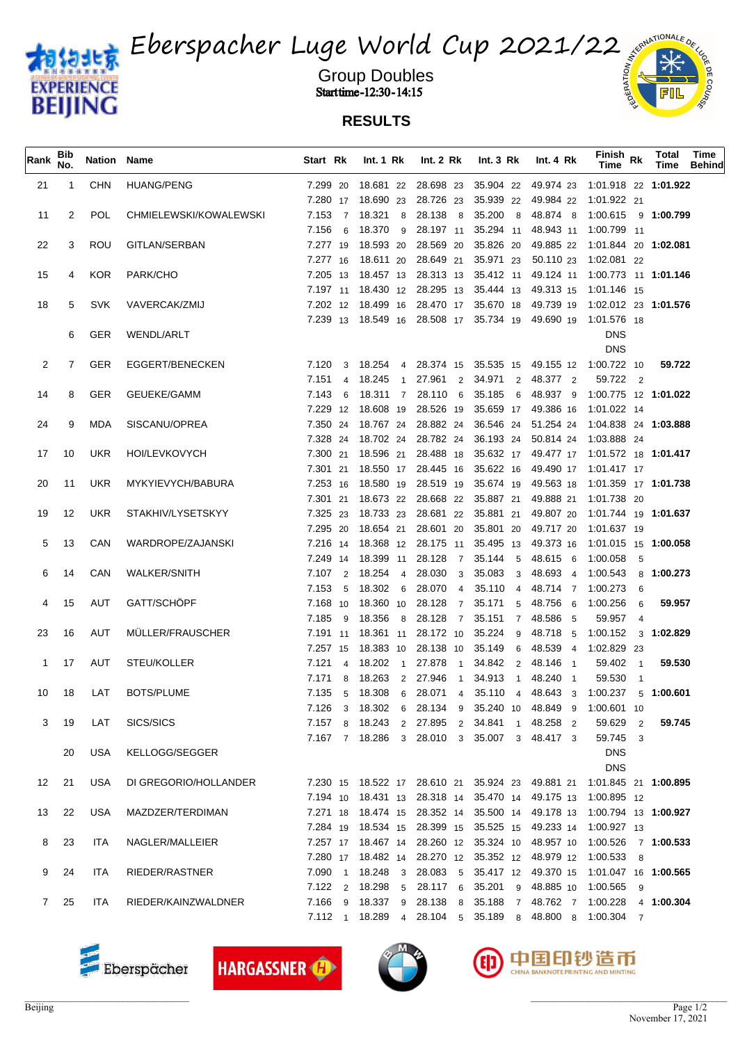



Group Doubles and the settlement of the settlement of the settlement of  $\frac{1}{2}$ **Start time -12:30 - 14:15**  $\frac{6}{5}$ 

## **RESULTS**

| Rank            | Bib<br>No. | Nation Name |                        | Start Rk       | Int. $1 \,$ Rk     | Int. $2 \, Rk$              | Int. 3 Rk                                   | Int. $4 \, Rk$ | Finish <sub>Rk</sub><br>Time                                                  | Total<br>Time | Time<br><b>Behind</b> |
|-----------------|------------|-------------|------------------------|----------------|--------------------|-----------------------------|---------------------------------------------|----------------|-------------------------------------------------------------------------------|---------------|-----------------------|
| 21              |            | <b>CHN</b>  | <b>HUANG/PENG</b>      |                |                    |                             |                                             |                | 7.299 20 18.681 22 28.698 23 35.904 22 49.974 23 1:01.918 22 1:01.922         |               |                       |
|                 |            |             |                        |                |                    |                             |                                             |                | 7.280 17 18.690 23 28.726 23 35.939 22 49.984 22 1.01.922 21                  |               |                       |
| 11              | 2          | <b>POL</b>  | CHMIELEWSKI/KOWALEWSKI | 7.153 7 18.321 | 8                  |                             |                                             |                | 28.138 8 35.200 8 48.874 8 1:00.615 9 1:00.799                                |               |                       |
|                 |            |             |                        | 7.156          | 6 18.370 9         |                             |                                             |                | 28.197 11 35.294 11 48.943 11 1:00.799 11                                     |               |                       |
| 22              | 3          | ROU         | GITLAN/SERBAN          |                | 7.277 19 18.593 20 |                             | 28.569 20 35.826 20                         |                | 49.885 22 1:01.844 20 1:02.081                                                |               |                       |
|                 |            |             |                        |                | 7.277 16 18.611 20 | 28.649 21 35.971 23         |                                             | 50.110 23      | 1:02.081 22                                                                   |               |                       |
| 15              | 4          | <b>KOR</b>  | PARK/CHO               |                |                    |                             |                                             |                | 7.205 13 18.457 13 28.313 13 35.412 11 49.124 11 1:00.773 11 1:01.146         |               |                       |
|                 |            |             |                        |                |                    |                             |                                             |                | 7.197 11 18.430 12 28.295 13 35.444 13 49.313 15 1:01.146 15                  |               |                       |
| 18              | 5          | <b>SVK</b>  | VAVERCAK/ZMIJ          |                |                    |                             |                                             |                | 7.202 12 18.499 16 28.470 17 35.670 18 49.739 19 1:02.012 23 1:01.576         |               |                       |
|                 |            |             |                        |                |                    |                             |                                             |                | 7.239 13 18.549 16 28.508 17 35.734 19 49.690 19 1.01.576 18                  |               |                       |
|                 | 6          | <b>GER</b>  | <b>WENDL/ARLT</b>      |                |                    |                             |                                             |                | <b>DNS</b>                                                                    |               |                       |
|                 |            |             |                        |                |                    |                             |                                             |                | <b>DNS</b>                                                                    |               |                       |
| 2               | 7          | <b>GER</b>  | EGGERT/BENECKEN        | 7.120          | 3 18.254 4         |                             |                                             |                | 28.374 15 35.535 15 49.155 12 1:00.722 10                                     | 59.722        |                       |
|                 |            |             |                        |                | 7.151 4 18.245 1   |                             | 27.961 2 34.971 2 48.377 2                  |                | 59.722 2                                                                      |               |                       |
| 14              | 8          | <b>GER</b>  | <b>GEUEKE/GAMM</b>     |                |                    |                             |                                             |                | 7.143 6 18.311 7 28.110 6 35.185 6 48.937 9 1:00.775 12 1:01.022              |               |                       |
|                 |            |             |                        |                | 7.229 12 18.608 19 |                             |                                             |                | 28.526 19 35.659 17 49.386 16 1:01.022 14                                     |               |                       |
| 24              | 9          | MDA         | SISCANU/OPREA          |                |                    |                             |                                             |                | 7.350 24 18.767 24 28.882 24 36.546 24 51.254 24 1:04.838 24 1:03.888         |               |                       |
|                 |            |             |                        |                |                    |                             |                                             |                | 7.328 24 18.702 24 28.782 24 36.193 24 50.814 24 1.03.888 24                  |               |                       |
| 17              | 10         | UKR         | HOI/LEVKOVYCH          |                |                    |                             |                                             |                | 7.300 21 18.596 21 28.488 18 35.632 17 49.477 17 1:01.572 18 1:01.417         |               |                       |
|                 |            |             |                        |                |                    |                             |                                             |                | 7.301 21 18.550 17 28.445 16 35.622 16 49.490 17 1.01.417 17                  |               |                       |
| 20              | 11         | UKR         | MYKYIEVYCH/BABURA      |                |                    |                             |                                             |                | 7.253 16 18.580 19 28.519 19 35.674 19 49.563 18 1:01.359 17 1:01.738         |               |                       |
|                 |            |             |                        |                |                    |                             |                                             |                | 7.301 21 18.673 22 28.668 22 35.887 21 49.888 21 1.01.738 20                  |               |                       |
| 19              | 12         | UKR         | STAKHIV/LYSETSKYY      |                |                    |                             |                                             |                | 7.325 23 18.733 23 28.681 22 35.881 21 49.807 20 1:01.744 19 1:01.637         |               |                       |
|                 |            |             |                        |                |                    |                             |                                             |                | 7.295 20 18.654 21 28.601 20 35.801 20 49.717 20 1:01.637 19                  |               |                       |
| 5               | 13         | <b>CAN</b>  | WARDROPE/ZAJANSKI      |                |                    |                             |                                             |                | 7.216 14 18.368 12 28.175 11 35.495 13 49.373 16 1:01.015 15 1:00.058         |               |                       |
|                 |            |             |                        |                |                    |                             |                                             |                | 7.249 14 18.399 11 28.128 7 35.144 5 48.615 6 1.00.058 5                      |               |                       |
| 6               | 14         | CAN         | <b>WALKER/SNITH</b>    | 7.107          | 2 18.254 4         |                             |                                             |                | 28.030 3 35.083 3 48.693 4 1:00.543 8 1:00.273                                |               |                       |
|                 |            |             |                        |                | 7.153 5 18.302 6   |                             |                                             |                | 28.070  4  35.110  4  48.714  7  1:00.273  6                                  |               |                       |
| 4               | 15         | AUT         | GATT/SCHÖPF            |                |                    | 7.168 10 18.360 10 28.128 7 |                                             |                | 35.171 5 48.756 6 1:00.256 6                                                  | 59.957        |                       |
|                 |            |             |                        | 7.185          |                    |                             | 9 18.356 8 28.128 7 35.151 7 48.586 5       |                | 59.957 4                                                                      |               |                       |
| 23              | 16         | AUT         | MÜLLER/FRAUSCHER       |                |                    |                             |                                             |                | 7.191 11 18.361 11 28.172 10 35.224 9 48.718 5 1:00.152 3 1:02.829            |               |                       |
|                 |            |             |                        |                |                    |                             |                                             |                | 7.257 15 18.383 10 28.138 10 35.149 6 48.539 4 1.02.829 23                    |               |                       |
| 1               | 17         | AUT         | STEU/KOLLER            | 7.121          | 4 18.202 1         | 27.878 1                    | 34.842 2 48.146 1                           |                | 59.402 1                                                                      | 59.530        |                       |
|                 |            |             |                        | 7.171          | 8 18.263 2 27.946  | $\overline{1}$              | 34.913 1 48.240 1                           |                | 59.530 1                                                                      |               |                       |
| 10              | 18         | LAT         | <b>BOTS/PLUME</b>      |                |                    |                             |                                             |                | 7.135 5 18.308 6 28.071 4 35.110 4 48.643 3 1:00.237 5 1:00.601               |               |                       |
|                 |            |             |                        | 7.126          |                    |                             |                                             |                | 3 18.302 6 28.134 9 35.240 10 48.849 9 1:00.601 10                            |               |                       |
| 3               | - 19       | LAT         | SICS/SICS              |                |                    |                             | 7.157 8 18.243 2 27.895 2 34.841 1 48.258 2 |                | 59.629 2                                                                      | 59.745        |                       |
|                 |            |             |                        |                |                    |                             | 7.167 7 18.286 3 28.010 3 35.007 3 48.417 3 |                | 59.745 3                                                                      |               |                       |
|                 | 20         | <b>USA</b>  | KELLOGG/SEGGER         |                |                    |                             |                                             |                | <b>DNS</b>                                                                    |               |                       |
|                 |            |             |                        |                |                    |                             |                                             |                | <b>DNS</b>                                                                    |               |                       |
| 12              | 21         | USA         | DI GREGORIO/HOLLANDER  |                |                    |                             |                                             |                | 7.230 15 18.522 17 28.610 21 35.924 23 49.881 21 1:01.845 21 1:00.895         |               |                       |
|                 |            |             |                        |                |                    |                             |                                             |                | 7.194 10 18.431 13 28.318 14 35.470 14 49.175 13 1:00.895 12                  |               |                       |
| 13              | 22         | USA         | MAZDZER/TERDIMAN       |                |                    |                             |                                             |                | 7.271 18 18.474 15 28.352 14 35.500 14 49.178 13 1:00.794 13 1:00.927         |               |                       |
|                 |            |             |                        |                |                    |                             |                                             |                | 7.284 19 18.534 15 28.399 15 35.525 15 49.233 14 1:00.927 13                  |               |                       |
| 8               | 23         | ITA         | NAGLER/MALLEIER        |                |                    |                             |                                             |                | 7.257 17 18.467 14 28.260 12 35.324 10 48.957 10 1:00.526 7 1:00.533          |               |                       |
|                 |            |             |                        |                |                    |                             |                                             |                | 7.280 17 18.482 14 28.270 12 35.352 12 48.979 12 1:00.533 8                   |               |                       |
| 9               | 24         | ITA         | RIEDER/RASTNER         |                |                    |                             |                                             |                | 7.090 1 18.248 3 28.083 5 35.417 12 49.370 15 1:01.047 16 1:00.565            |               |                       |
|                 |            |             |                        |                |                    |                             |                                             |                | 7.122   2   18.298   5   28.117   6   35.201   9   48.885   10   1:00.565   9 |               |                       |
| $7\overline{ }$ | 25         | ITA         | RIEDER/KAINZWALDNER    |                |                    |                             |                                             |                | 7.166 9 18.337 9 28.138 8 35.188 7 48.762 7 1:00.228 4 1 <b>:00.304</b>       |               |                       |
|                 |            |             |                        |                |                    |                             |                                             |                | 7.112 1 18.289 4 28.104 5 35.189 8 48.800 8 1:00.304 7                        |               |                       |